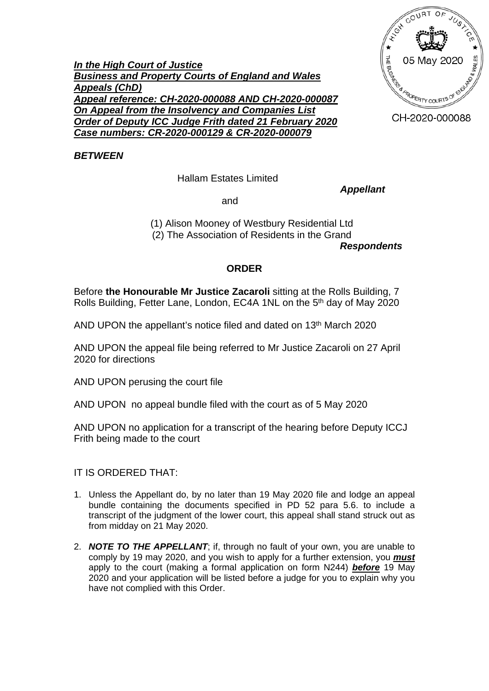

*In the High Court of Justice Business and Property Courts of England and Wales Appeals (ChD) Appeal reference: CH-2020-000088 AND CH-2020-000087 On Appeal from the Insolvency and Companies List Order of Deputy ICC Judge Frith dated 21 February 2020 Case numbers: CR-2020-000129 & CR-2020-000079*

*BETWEEN*

Hallam Estates Limited

*Appellant*

and

(1) Alison Mooney of Westbury Residential Ltd (2) The Association of Residents in the Grand

*Respondents*

## **ORDER**

Before **the Honourable Mr Justice Zacaroli** sitting at the Rolls Building, 7 Rolls Building, Fetter Lane, London, EC4A 1NL on the 5<sup>th</sup> day of May 2020

AND UPON the appellant's notice filed and dated on 13<sup>th</sup> March 2020

AND UPON the appeal file being referred to Mr Justice Zacaroli on 27 April 2020 for directions

AND UPON perusing the court file

AND UPON no appeal bundle filed with the court as of 5 May 2020

AND UPON no application for a transcript of the hearing before Deputy ICCJ Frith being made to the court

IT IS ORDERED THAT:

- 1. Unless the Appellant do, by no later than 19 May 2020 file and lodge an appeal bundle containing the documents specified in PD 52 para 5.6. to include a transcript of the judgment of the lower court, this appeal shall stand struck out as from midday on 21 May 2020.
- 2. *NOTE TO THE APPELLANT*; if, through no fault of your own, you are unable to comply by 19 may 2020, and you wish to apply for a further extension, you *must* apply to the court (making a formal application on form N244) *before* 19 May 2020 and your application will be listed before a judge for you to explain why you have not complied with this Order.